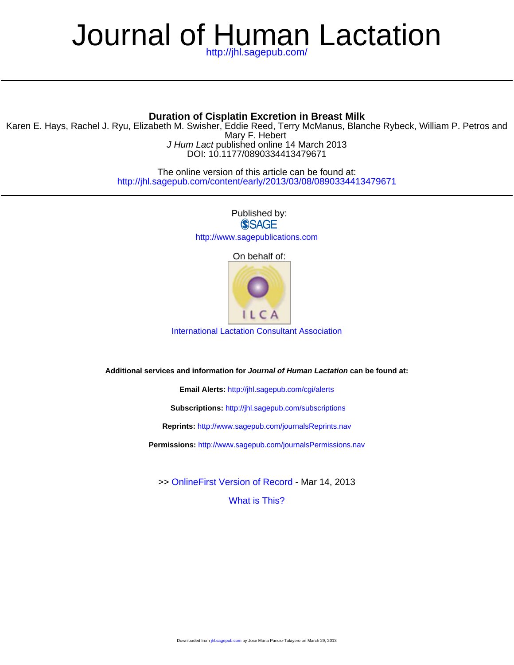# <http://jhl.sagepub.com/> Journal of Human Lactation

## **Duration of Cisplatin Excretion in Breast Milk**

DOI: 10.1177/0890334413479671 J Hum Lact published online 14 March 2013 Mary F. Hebert Karen E. Hays, Rachel J. Ryu, Elizabeth M. Swisher, Eddie Reed, Terry McManus, Blanche Rybeck, William P. Petros and

> <http://jhl.sagepub.com/content/early/2013/03/08/0890334413479671> The online version of this article can be found at:

> > Published by: **SSAGE** <http://www.sagepublications.com>

> > > On behalf of:



[International Lactation Consultant Association](http://www.ilca.org)

**Additional services and information for Journal of Human Lactation can be found at:**

**Email Alerts:** <http://jhl.sagepub.com/cgi/alerts>

**Subscriptions:** <http://jhl.sagepub.com/subscriptions>

**Reprints:** <http://www.sagepub.com/journalsReprints.nav>

**Permissions:** <http://www.sagepub.com/journalsPermissions.nav>

[What is This?](http://online.sagepub.com/site/sphelp/vorhelp.xhtml) >> [OnlineFirst Version of Record -](http://jhl.sagepub.com/content/early/2013/03/08/0890334413479671.full.pdf) Mar 14, 2013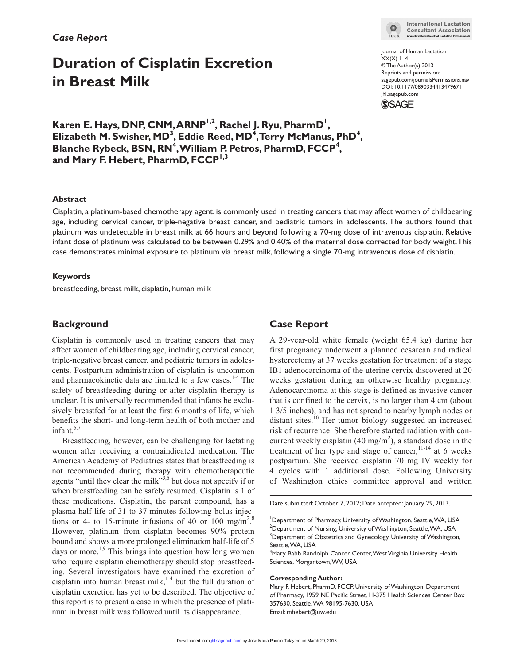## **Duration of Cisplatin Excretion in Breast Milk**

Karen E. Hays, DNP, CNM, ARNP<sup>1,2</sup>, Rachel J. Ryu, PharmD<sup>1</sup>, Elizabeth M. Swisher, MD<sup>3</sup>, Eddie Reed, MD<sup>4</sup>, Terry McManus, PhD<sup>4</sup>, Blanche Rybeck, BSN, RN<sup>4</sup>, William P. Petros, PharmD, FCCP<sup>4</sup>, and Mary F. Hebert, PharmD, FCCP<sup>1,3</sup>

#### **Abstract**

Cisplatin, a platinum-based chemotherapy agent, is commonly used in treating cancers that may affect women of childbearing age, including cervical cancer, triple-negative breast cancer, and pediatric tumors in adolescents. The authors found that platinum was undetectable in breast milk at 66 hours and beyond following a 70-mg dose of intravenous cisplatin. Relative infant dose of platinum was calculated to be between 0.29% and 0.40% of the maternal dose corrected for body weight. This case demonstrates minimal exposure to platinum via breast milk, following a single 70-mg intravenous dose of cisplatin.

#### **Keywords**

breastfeeding, breast milk, cisplatin, human milk

## **Background**

Cisplatin is commonly used in treating cancers that may affect women of childbearing age, including cervical cancer, triple-negative breast cancer, and pediatric tumors in adolescents. Postpartum administration of cisplatin is uncommon and pharmacokinetic data are limited to a few cases.<sup>1-4</sup> The safety of breastfeeding during or after cisplatin therapy is unclear. It is universally recommended that infants be exclusively breastfed for at least the first 6 months of life, which benefits the short- and long-term health of both mother and infant. $5,7$ 

Breastfeeding, however, can be challenging for lactating women after receiving a contraindicated medication. The American Academy of Pediatrics states that breastfeeding is not recommended during therapy with chemotherapeutic agents "until they clear the milk"<sup>5,6</sup> but does not specify if or when breastfeeding can be safely resumed. Cisplatin is 1 of these medications. Cisplatin, the parent compound, has a plasma half-life of 31 to 37 minutes following bolus injections or 4- to 15-minute infusions of 40 or 100 mg/m<sup>2</sup>.<sup>8</sup> However, platinum from cisplatin becomes 90% protein bound and shows a more prolonged elimination half-life of 5 days or more.<sup>1,9</sup> This brings into question how long women who require cisplatin chemotherapy should stop breastfeeding. Several investigators have examined the excretion of cisplatin into human breast milk, $1-4$  but the full duration of cisplatin excretion has yet to be described. The objective of this report is to present a case in which the presence of platinum in breast milk was followed until its disappearance.

## **Case Report**

A 29-year-old white female (weight 65.4 kg) during her first pregnancy underwent a planned cesarean and radical hysterectomy at 37 weeks gestation for treatment of a stage IB1 adenocarcinoma of the uterine cervix discovered at 20 weeks gestation during an otherwise healthy pregnancy. Adenocarcinoma at this stage is defined as invasive cancer that is confined to the cervix, is no larger than 4 cm (about 1 3/5 inches), and has not spread to nearby lymph nodes or distant sites.<sup>10</sup> Her tumor biology suggested an increased risk of recurrence. She therefore started radiation with concurrent weekly cisplatin (40 mg/m<sup>2</sup>), a standard dose in the treatment of her type and stage of cancer,  $11-14$  at 6 weeks postpartum. She received cisplatin 70 mg IV weekly for 4 cycles with 1 additional dose. Following University of Washington ethics committee approval and written

Date submitted: October 7, 2012; Date accepted: January 29, 2013.

4 Mary Babb Randolph Cancer Center, West Virginia University Health Sciences, Morgantown, WV, USA

#### **Corresponding Author:**

Mary F. Hebert, PharmD, FCCP, University of Washington, Department of Pharmacy, 1959 NE Pacific Street, H-375 Health Sciences Center, Box 357630, Seattle, WA 98195-7630, USA Email: mhebert@uw.edu



Journal of Human Lactation  $XX(X)$   $I-4$ © The Author(s) 2013 Reprints and permission: sagepub.com/journalsPermissions.nav DOI: 10.1177/0890334413479671 jhl.sagepub.com **SSAGE** 

<sup>&</sup>lt;sup>1</sup>Department of Pharmacy, University of Washington, Seattle, WA, USA  $^{\rm 2}$ Department of Nursing, University of Washington, Seattle, WA, USA <sup>3</sup>Department of Obstetrics and Gynecology, University of Washington, Seattle, WA, USA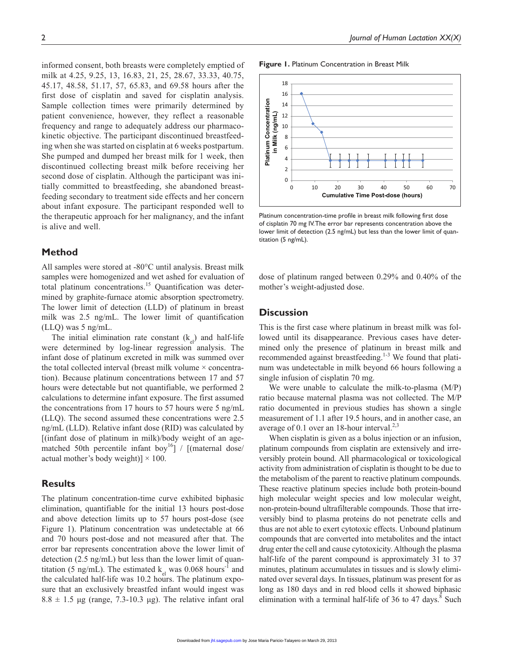informed consent, both breasts were completely emptied of milk at 4.25, 9.25, 13, 16.83, 21, 25, 28.67, 33.33, 40.75, 45.17, 48.58, 51.17, 57, 65.83, and 69.58 hours after the first dose of cisplatin and saved for cisplatin analysis. Sample collection times were primarily determined by patient convenience, however, they reflect a reasonable frequency and range to adequately address our pharmacokinetic objective. The participant discontinued breastfeeding when she was started on cisplatin at 6 weeks postpartum. She pumped and dumped her breast milk for 1 week, then discontinued collecting breast milk before receiving her second dose of cisplatin. Although the participant was initially committed to breastfeeding, she abandoned breastfeeding secondary to treatment side effects and her concern about infant exposure. The participant responded well to the therapeutic approach for her malignancy, and the infant is alive and well.

#### **Method**

All samples were stored at -80°C until analysis. Breast milk samples were homogenized and wet ashed for evaluation of total platinum concentrations.<sup>15</sup> Quantification was determined by graphite-furnace atomic absorption spectrometry. The lower limit of detection (LLD) of platinum in breast milk was 2.5 ng/mL. The lower limit of quantification (LLQ) was 5 ng/mL.

The initial elimination rate constant  $(k_{el})$  and half-life were determined by log-linear regression analysis. The infant dose of platinum excreted in milk was summed over the total collected interval (breast milk volume  $\times$  concentration). Because platinum concentrations between 17 and 57 hours were detectable but not quantifiable, we performed 2 calculations to determine infant exposure. The first assumed the concentrations from 17 hours to 57 hours were 5 ng/mL (LLQ). The second assumed these concentrations were 2.5 ng/mL (LLD). Relative infant dose (RID) was calculated by [(infant dose of platinum in milk)/body weight of an agematched 50th percentile infant boy<sup>16</sup>] / [(maternal dose/ actual mother's body weight)]  $\times$  100.

## **Results**

The platinum concentration-time curve exhibited biphasic elimination, quantifiable for the initial 13 hours post-dose and above detection limits up to 57 hours post-dose (see Figure 1). Platinum concentration was undetectable at 66 and 70 hours post-dose and not measured after that. The error bar represents concentration above the lower limit of detection (2.5 ng/mL) but less than the lower limit of quantitation (5 ng/mL). The estimated  $k_{el}$  was 0.068 hours<sup>-1</sup> and the calculated half-life was 10.2 hours. The platinum exposure that an exclusively breastfed infant would ingest was  $8.8 \pm 1.5$  µg (range, 7.3-10.3 µg). The relative infant oral

**Figure 1.** Platinum Concentration in Breast Milk



Platinum concentration-time profile in breast milk following first dose of cisplatin 70 mg IV. The error bar represents concentration above the lower limit of detection (2.5 ng/mL) but less than the lower limit of quantitation (5 ng/mL).

dose of platinum ranged between 0.29% and 0.40% of the mother's weight-adjusted dose.

### **Discussion**

This is the first case where platinum in breast milk was followed until its disappearance. Previous cases have determined only the presence of platinum in breast milk and recommended against breastfeeding.<sup>1-3</sup> We found that platinum was undetectable in milk beyond 66 hours following a single infusion of cisplatin 70 mg.

We were unable to calculate the milk-to-plasma (M/P) ratio because maternal plasma was not collected. The M/P ratio documented in previous studies has shown a single measurement of 1.1 after 19.5 hours, and in another case, an average of 0.1 over an 18-hour interval. $2,3$ 

When cisplatin is given as a bolus injection or an infusion, platinum compounds from cisplatin are extensively and irreversibly protein bound. All pharmacological or toxicological activity from administration of cisplatin is thought to be due to the metabolism of the parent to reactive platinum compounds. These reactive platinum species include both protein-bound high molecular weight species and low molecular weight, non-protein-bound ultrafilterable compounds. Those that irreversibly bind to plasma proteins do not penetrate cells and thus are not able to exert cytotoxic effects. Unbound platinum compounds that are converted into metabolites and the intact drug enter the cell and cause cytotoxicity. Although the plasma half-life of the parent compound is approximately 31 to 37 minutes, platinum accumulates in tissues and is slowly eliminated over several days. In tissues, platinum was present for as long as 180 days and in red blood cells it showed biphasic elimination with a terminal half-life of 36 to 47 days. $8$  Such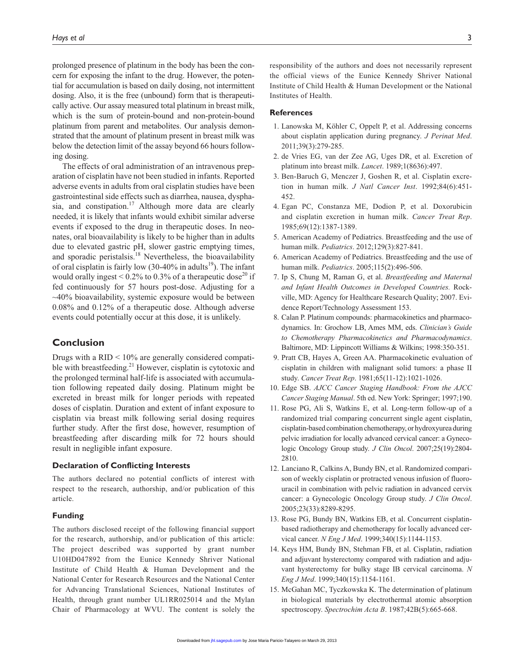prolonged presence of platinum in the body has been the concern for exposing the infant to the drug. However, the potential for accumulation is based on daily dosing, not intermittent dosing. Also, it is the free (unbound) form that is therapeutically active. Our assay measured total platinum in breast milk, which is the sum of protein-bound and non-protein-bound platinum from parent and metabolites. Our analysis demonstrated that the amount of platinum present in breast milk was below the detection limit of the assay beyond 66 hours following dosing.

The effects of oral administration of an intravenous preparation of cisplatin have not been studied in infants. Reported adverse events in adults from oral cisplatin studies have been gastrointestinal side effects such as diarrhea, nausea, dysphasia, and constipation.<sup>17</sup> Although more data are clearly needed, it is likely that infants would exhibit similar adverse events if exposed to the drug in therapeutic doses. In neonates, oral bioavailability is likely to be higher than in adults due to elevated gastric pH, slower gastric emptying times, and sporadic peristalsis.<sup>18</sup> Nevertheless, the bioavailability of oral cisplatin is fairly low  $(30-40\%$  in adults<sup>19</sup>). The infant would orally ingest  $\leq 0.2\%$  to 0.3% of a therapeutic dose<sup>20</sup> if fed continuously for 57 hours post-dose. Adjusting for a  $\sim$ 40% bioavailability, systemic exposure would be between 0.08% and 0.12% of a therapeutic dose. Although adverse events could potentially occur at this dose, it is unlikely.

### **Conclusion**

Drugs with a RID < 10% are generally considered compatible with breastfeeding. $^{21}$  However, cisplatin is cytotoxic and the prolonged terminal half-life is associated with accumulation following repeated daily dosing. Platinum might be excreted in breast milk for longer periods with repeated doses of cisplatin. Duration and extent of infant exposure to cisplatin via breast milk following serial dosing requires further study. After the first dose, however, resumption of breastfeeding after discarding milk for 72 hours should result in negligible infant exposure.

#### **Declaration of Conflicting Interests**

The authors declared no potential conflicts of interest with respect to the research, authorship, and/or publication of this article.

#### **Funding**

The authors disclosed receipt of the following financial support for the research, authorship, and/or publication of this article: The project described was supported by grant number U10HD047892 from the Eunice Kennedy Shriver National Institute of Child Health & Human Development and the National Center for Research Resources and the National Center for Advancing Translational Sciences, National Institutes of Health, through grant number UL1RR025014 and the Mylan Chair of Pharmacology at WVU. The content is solely the responsibility of the authors and does not necessarily represent the official views of the Eunice Kennedy Shriver National Institute of Child Health & Human Development or the National Institutes of Health.

#### **References**

- 1. Lanowska M, Köhler C, Oppelt P, et al. Addressing concerns about cisplatin application during pregnancy. *J Perinat Med*. 2011;39(3):279-285.
- 2. de Vries EG, van der Zee AG, Uges DR, et al. Excretion of platinum into breast milk. *Lancet*. 1989;1(8636):497.
- 3. Ben-Baruch G, Menczer J, Goshen R, et al. Cisplatin excretion in human milk. *J Natl Cancer Inst*. 1992;84(6):451- 452.
- 4. Egan PC, Constanza ME, Dodion P, et al. Doxorubicin and cisplatin excretion in human milk. *Cancer Treat Rep*. 1985;69(12):1387-1389.
- 5. American Academy of Pediatrics. Breastfeeding and the use of human milk. *Pediatrics*. 2012;129(3):827-841.
- 6. American Academy of Pediatrics. Breastfeeding and the use of human milk. *Pediatrics*. 2005;115(2):496-506.
- 7. Ip S, Chung M, Raman G, et al. *Breastfeeding and Maternal and Infant Health Outcomes in Developed Countries.* Rockville, MD: Agency for Healthcare Research Quality; 2007. Evidence Report/Technology Assessment 153.
- 8. Calan P. Platinum compounds: pharmacokinetics and pharmacodynamics. In: Grochow LB, Ames MM, eds. *Clinician's Guide to Chemotherapy Pharmacokinetics and Pharmacodynamics*. Baltimore, MD: Lippincott Williams & Wilkins; 1998:350-351.
- 9. Pratt CB, Hayes A, Green AA. Pharmacokinetic evaluation of cisplatin in children with malignant solid tumors: a phase II study. *Cancer Treat Rep*. 1981;65(11-12):1021-1026.
- 10. Edge SB. *AJCC Cancer Staging Handbook: From the AJCC Cancer Staging Manual*. 5th ed. New York: Springer; 1997;190.
- 11. Rose PG, Ali S, Watkins E, et al. Long-term follow-up of a randomized trial comparing concurrent single agent cisplatin, cisplatin-based combination chemotherapy, or hydroxyurea during pelvic irradiation for locally advanced cervical cancer: a Gynecologic Oncology Group study. *J Clin Oncol*. 2007;25(19):2804- 2810.
- 12. Lanciano R, Calkins A, Bundy BN, et al. Randomized comparison of weekly cisplatin or protracted venous infusion of fluorouracil in combination with pelvic radiation in advanced cervix cancer: a Gynecologic Oncology Group study. *J Clin Oncol*. 2005;23(33):8289-8295.
- 13. Rose PG, Bundy BN, Watkins EB, et al. Concurrent cisplatinbased radiotherapy and chemotherapy for locally advanced cervical cancer. *N Eng J Med*. 1999;340(15):1144-1153.
- 14. Keys HM, Bundy BN, Stehman FB, et al. Cisplatin, radiation and adjuvant hysterectomy compared with radiation and adjuvant hysterectomy for bulky stage IB cervical carcinoma. *N Eng J Med*. 1999;340(15):1154-1161.
- 15. McGahan MC, Tyczkowska K. The determination of platinum in biological materials by electrothermal atomic absorption spectroscopy. *Spectrochim Acta B*. 1987;42B(5):665-668.